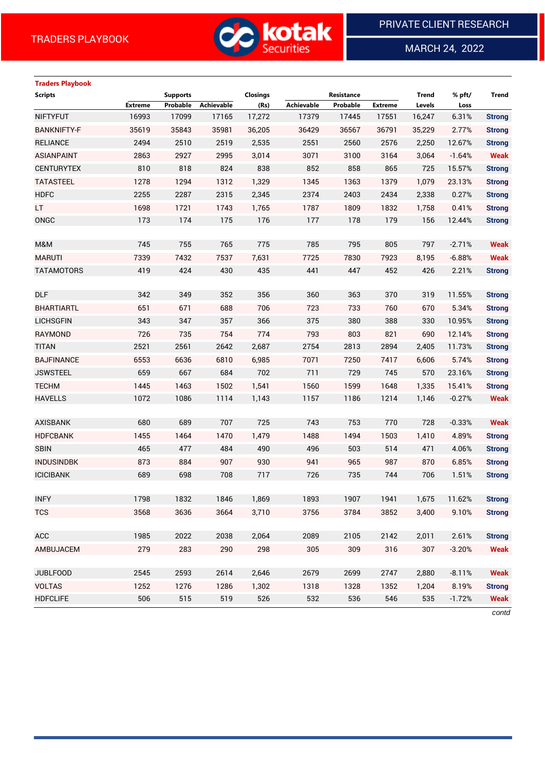

MARCH 24, 2022

 $\overline{a}$ 

# **Traders Playbook**

| <b>Extreme</b><br>Probable<br>Achievable<br>Probable<br><b>Extreme</b><br>Levels<br>Loss<br>16993<br>17,272<br>17445<br>6.31%<br><b>NIFTYFUT</b><br>17099<br>17165<br>17379<br>17551<br>16,247<br><b>Strong</b><br>35619<br>35843<br>35981<br>36567<br><b>BANKNIFTY-F</b><br>36,205<br>36429<br>36791<br>35,229<br>2.77%<br><b>Strong</b><br>2494<br>2510<br>2519<br>2551<br><b>RELIANCE</b><br>2,535<br>2560<br>2576<br>2,250<br>12.67%<br><b>Strong</b><br><b>ASIANPAINT</b><br>2927<br>3,014<br>3071<br>2863<br>2995<br>3100<br>3164<br>3,064<br>$-1.64%$<br>810<br>824<br><b>CENTURYTEX</b><br>818<br>838<br>852<br>858<br>865<br>725<br>15.57%<br><b>Strong</b><br><b>TATASTEEL</b><br>1278<br>1294<br>1312<br>1345<br>1363<br>1,329<br>1379<br>1,079<br>23.13%<br><b>HDFC</b><br>2255<br>2287<br>2315<br>2,345<br>2374<br>2403<br>2434<br>2,338<br>0.27%<br>LT.<br>1698<br>1721<br>1743<br>1787<br>1809<br>0.41%<br>1,765<br>1832<br>1,758<br>ONGC<br>173<br>174<br>175<br>176<br>177<br>178<br>179<br>156<br>12.44% | <b>Scripts</b> | <b>Supports</b> | <b>Closings</b> |            | Resistance | <b>Trend</b> | % pft/ | <b>Trend</b>  |
|----------------------------------------------------------------------------------------------------------------------------------------------------------------------------------------------------------------------------------------------------------------------------------------------------------------------------------------------------------------------------------------------------------------------------------------------------------------------------------------------------------------------------------------------------------------------------------------------------------------------------------------------------------------------------------------------------------------------------------------------------------------------------------------------------------------------------------------------------------------------------------------------------------------------------------------------------------------------------------------------------------------------------|----------------|-----------------|-----------------|------------|------------|--------------|--------|---------------|
|                                                                                                                                                                                                                                                                                                                                                                                                                                                                                                                                                                                                                                                                                                                                                                                                                                                                                                                                                                                                                            |                |                 | (Rs)            | Achievable |            |              |        |               |
|                                                                                                                                                                                                                                                                                                                                                                                                                                                                                                                                                                                                                                                                                                                                                                                                                                                                                                                                                                                                                            |                |                 |                 |            |            |              |        |               |
|                                                                                                                                                                                                                                                                                                                                                                                                                                                                                                                                                                                                                                                                                                                                                                                                                                                                                                                                                                                                                            |                |                 |                 |            |            |              |        |               |
|                                                                                                                                                                                                                                                                                                                                                                                                                                                                                                                                                                                                                                                                                                                                                                                                                                                                                                                                                                                                                            |                |                 |                 |            |            |              |        |               |
|                                                                                                                                                                                                                                                                                                                                                                                                                                                                                                                                                                                                                                                                                                                                                                                                                                                                                                                                                                                                                            |                |                 |                 |            |            |              |        | <b>Weak</b>   |
|                                                                                                                                                                                                                                                                                                                                                                                                                                                                                                                                                                                                                                                                                                                                                                                                                                                                                                                                                                                                                            |                |                 |                 |            |            |              |        |               |
|                                                                                                                                                                                                                                                                                                                                                                                                                                                                                                                                                                                                                                                                                                                                                                                                                                                                                                                                                                                                                            |                |                 |                 |            |            |              |        | <b>Strong</b> |
|                                                                                                                                                                                                                                                                                                                                                                                                                                                                                                                                                                                                                                                                                                                                                                                                                                                                                                                                                                                                                            |                |                 |                 |            |            |              |        | <b>Strong</b> |
|                                                                                                                                                                                                                                                                                                                                                                                                                                                                                                                                                                                                                                                                                                                                                                                                                                                                                                                                                                                                                            |                |                 |                 |            |            |              |        | <b>Strong</b> |
|                                                                                                                                                                                                                                                                                                                                                                                                                                                                                                                                                                                                                                                                                                                                                                                                                                                                                                                                                                                                                            |                |                 |                 |            |            |              |        | <b>Strong</b> |
|                                                                                                                                                                                                                                                                                                                                                                                                                                                                                                                                                                                                                                                                                                                                                                                                                                                                                                                                                                                                                            |                |                 |                 |            |            |              |        |               |
| 745<br>785<br>755<br>765<br>775<br>795<br>805<br>797<br>$-2.71%$<br>M&M                                                                                                                                                                                                                                                                                                                                                                                                                                                                                                                                                                                                                                                                                                                                                                                                                                                                                                                                                    |                |                 |                 |            |            |              |        | <b>Weak</b>   |
| 7339<br>7830<br><b>MARUTI</b><br>7432<br>7537<br>7,631<br>7725<br>7923<br>8,195<br>$-6.88%$                                                                                                                                                                                                                                                                                                                                                                                                                                                                                                                                                                                                                                                                                                                                                                                                                                                                                                                                |                |                 |                 |            |            |              |        | <b>Weak</b>   |
| 419<br>424<br>430<br>435<br>441<br>447<br><b>TATAMOTORS</b><br>452<br>426<br>2.21%                                                                                                                                                                                                                                                                                                                                                                                                                                                                                                                                                                                                                                                                                                                                                                                                                                                                                                                                         |                |                 |                 |            |            |              |        | <b>Strong</b> |
|                                                                                                                                                                                                                                                                                                                                                                                                                                                                                                                                                                                                                                                                                                                                                                                                                                                                                                                                                                                                                            |                |                 |                 |            |            |              |        |               |
| <b>DLF</b><br>342<br>349<br>352<br>360<br>363<br>370<br>319<br>356<br>11.55%                                                                                                                                                                                                                                                                                                                                                                                                                                                                                                                                                                                                                                                                                                                                                                                                                                                                                                                                               |                |                 |                 |            |            |              |        | <b>Strong</b> |
| <b>BHARTIARTL</b><br>651<br>671<br>688<br>706<br>723<br>733<br>760<br>670<br>5.34%                                                                                                                                                                                                                                                                                                                                                                                                                                                                                                                                                                                                                                                                                                                                                                                                                                                                                                                                         |                |                 |                 |            |            |              |        | <b>Strong</b> |
| <b>LICHSGFIN</b><br>343<br>347<br>357<br>366<br>375<br>380<br>388<br>330<br>10.95%                                                                                                                                                                                                                                                                                                                                                                                                                                                                                                                                                                                                                                                                                                                                                                                                                                                                                                                                         |                |                 |                 |            |            |              |        | <b>Strong</b> |
| <b>RAYMOND</b><br>726<br>735<br>754<br>774<br>793<br>803<br>821<br>690<br>12.14%                                                                                                                                                                                                                                                                                                                                                                                                                                                                                                                                                                                                                                                                                                                                                                                                                                                                                                                                           |                |                 |                 |            |            |              |        | <b>Strong</b> |
| 2521<br>2561<br>2642<br>2754<br>2813<br>2894<br><b>TITAN</b><br>2,687<br>2,405<br>11.73%                                                                                                                                                                                                                                                                                                                                                                                                                                                                                                                                                                                                                                                                                                                                                                                                                                                                                                                                   |                |                 |                 |            |            |              |        | <b>Strong</b> |
| 6553<br>6636<br>6810<br>6,985<br>7071<br>7250<br><b>BAJFINANCE</b><br>7417<br>6,606<br>5.74%                                                                                                                                                                                                                                                                                                                                                                                                                                                                                                                                                                                                                                                                                                                                                                                                                                                                                                                               |                |                 |                 |            |            |              |        | <b>Strong</b> |
| 659<br>667<br>684<br>702<br>711<br>729<br>745<br>570<br><b>JSWSTEEL</b><br>23.16%                                                                                                                                                                                                                                                                                                                                                                                                                                                                                                                                                                                                                                                                                                                                                                                                                                                                                                                                          |                |                 |                 |            |            |              |        | <b>Strong</b> |
| <b>TECHM</b><br>1445<br>1463<br>1502<br>1,541<br>1560<br>1599<br>1,335<br>1648<br>15.41%                                                                                                                                                                                                                                                                                                                                                                                                                                                                                                                                                                                                                                                                                                                                                                                                                                                                                                                                   |                |                 |                 |            |            |              |        | <b>Strong</b> |
| <b>HAVELLS</b><br>1072<br>1086<br>1114<br>1157<br>1186<br>1,143<br>1214<br>1,146<br>$-0.27%$                                                                                                                                                                                                                                                                                                                                                                                                                                                                                                                                                                                                                                                                                                                                                                                                                                                                                                                               |                |                 |                 |            |            |              |        | <b>Weak</b>   |
|                                                                                                                                                                                                                                                                                                                                                                                                                                                                                                                                                                                                                                                                                                                                                                                                                                                                                                                                                                                                                            |                |                 |                 |            |            |              |        |               |
| 743<br>680<br>689<br>707<br>725<br>753<br>770<br>728<br><b>AXISBANK</b><br>$-0.33%$                                                                                                                                                                                                                                                                                                                                                                                                                                                                                                                                                                                                                                                                                                                                                                                                                                                                                                                                        |                |                 |                 |            |            |              |        | <b>Weak</b>   |
| 1455<br>1470<br>1494<br><b>HDFCBANK</b><br>1464<br>1,479<br>1488<br>1503<br>1,410<br>4.89%                                                                                                                                                                                                                                                                                                                                                                                                                                                                                                                                                                                                                                                                                                                                                                                                                                                                                                                                 |                |                 |                 |            |            |              |        | <b>Strong</b> |
| <b>SBIN</b><br>465<br>477<br>484<br>490<br>496<br>503<br>514<br>471<br>4.06%                                                                                                                                                                                                                                                                                                                                                                                                                                                                                                                                                                                                                                                                                                                                                                                                                                                                                                                                               |                |                 |                 |            |            |              |        | <b>Strong</b> |
| <b>INDUSINDBK</b><br>873<br>884<br>907<br>930<br>941<br>965<br>987<br>870<br>6.85%                                                                                                                                                                                                                                                                                                                                                                                                                                                                                                                                                                                                                                                                                                                                                                                                                                                                                                                                         |                |                 |                 |            |            |              |        | <b>Strong</b> |
| <b>ICICIBANK</b><br>689<br>698<br>708<br>717<br>726<br>735<br>744<br>706<br>1.51%                                                                                                                                                                                                                                                                                                                                                                                                                                                                                                                                                                                                                                                                                                                                                                                                                                                                                                                                          |                |                 |                 |            |            |              |        | <b>Strong</b> |
|                                                                                                                                                                                                                                                                                                                                                                                                                                                                                                                                                                                                                                                                                                                                                                                                                                                                                                                                                                                                                            |                |                 |                 |            |            |              |        |               |
| 1798<br>1832<br>1846<br>1,869<br>1893<br>1907<br><b>INFY</b><br>1941<br>1,675<br>11.62%                                                                                                                                                                                                                                                                                                                                                                                                                                                                                                                                                                                                                                                                                                                                                                                                                                                                                                                                    |                |                 |                 |            |            |              |        | <b>Strong</b> |
| 3,710<br><b>TCS</b><br>3568<br>3636<br>3664<br>3756<br>3784<br>3852<br>3,400<br>9.10%                                                                                                                                                                                                                                                                                                                                                                                                                                                                                                                                                                                                                                                                                                                                                                                                                                                                                                                                      |                |                 |                 |            |            |              |        | <b>Strong</b> |
|                                                                                                                                                                                                                                                                                                                                                                                                                                                                                                                                                                                                                                                                                                                                                                                                                                                                                                                                                                                                                            |                |                 |                 |            |            |              |        |               |
| ACC<br>1985<br>2022<br>2038<br>2,064<br>2089<br>2105<br>2142<br>2,011<br>2.61%                                                                                                                                                                                                                                                                                                                                                                                                                                                                                                                                                                                                                                                                                                                                                                                                                                                                                                                                             |                |                 |                 |            |            |              |        | <b>Strong</b> |
| 309<br>AMBUJACEM<br>279<br>283<br>290<br>298<br>305<br>316<br>307<br>$-3.20%$                                                                                                                                                                                                                                                                                                                                                                                                                                                                                                                                                                                                                                                                                                                                                                                                                                                                                                                                              |                |                 |                 |            |            |              |        | <b>Weak</b>   |
|                                                                                                                                                                                                                                                                                                                                                                                                                                                                                                                                                                                                                                                                                                                                                                                                                                                                                                                                                                                                                            |                |                 |                 |            |            |              |        |               |
| <b>JUBLFOOD</b><br>2593<br>2,646<br>2679<br>2699<br>2747<br>2,880<br>2545<br>2614<br>$-8.11%$                                                                                                                                                                                                                                                                                                                                                                                                                                                                                                                                                                                                                                                                                                                                                                                                                                                                                                                              |                |                 |                 |            |            |              |        | <b>Weak</b>   |
| <b>VOLTAS</b><br>1252<br>1276<br>1286<br>1,302<br>1318<br>1328<br>1352<br>1,204<br>8.19%                                                                                                                                                                                                                                                                                                                                                                                                                                                                                                                                                                                                                                                                                                                                                                                                                                                                                                                                   |                |                 |                 |            |            |              |        | <b>Strong</b> |
| <b>HDFCLIFE</b><br>506<br>515<br>519<br>532<br>536<br>546<br>526<br>535<br>$-1.72%$                                                                                                                                                                                                                                                                                                                                                                                                                                                                                                                                                                                                                                                                                                                                                                                                                                                                                                                                        |                |                 |                 |            |            |              |        | <b>Weak</b>   |

*contd*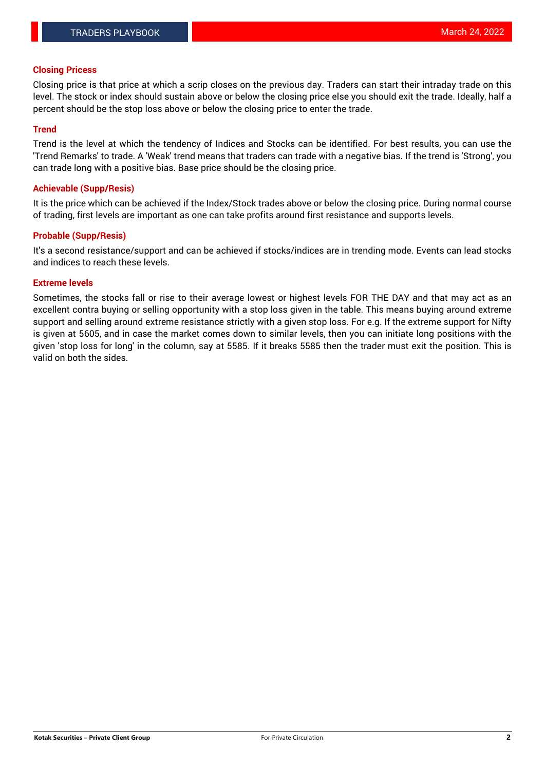#### **Closing Pricess**

Closing price is that price at which a scrip closes on the previous day. Traders can start their intraday trade on this level. The stock or index should sustain above or below the closing price else you should exit the trade. Ideally, half a percent should be the stop loss above or below the closing price to enter the trade.

#### **Trend**

Trend is the level at which the tendency of Indices and Stocks can be identified. For best results, you can use the 'Trend Remarks' to trade. A 'Weak' trend means that traders can trade with a negative bias. If the trend is 'Strong', you can trade long with a positive bias. Base price should be the closing price.

#### **Achievable (Supp/Resis)**

It is the price which can be achieved if the Index/Stock trades above or below the closing price. During normal course of trading, first levels are important as one can take profits around first resistance and supports levels.

## **Probable (Supp/Resis)**

It's a second resistance/support and can be achieved if stocks/indices are in trending mode. Events can lead stocks and indices to reach these levels.

## **Extreme levels**

Sometimes, the stocks fall or rise to their average lowest or highest levels FOR THE DAY and that may act as an excellent contra buying or selling opportunity with a stop loss given in the table. This means buying around extreme support and selling around extreme resistance strictly with a given stop loss. For e.g. If the extreme support for Nifty is given at 5605, and in case the market comes down to similar levels, then you can initiate long positions with the given 'stop loss for long' in the column, say at 5585. If it breaks 5585 then the trader must exit the position. This is valid on both the sides.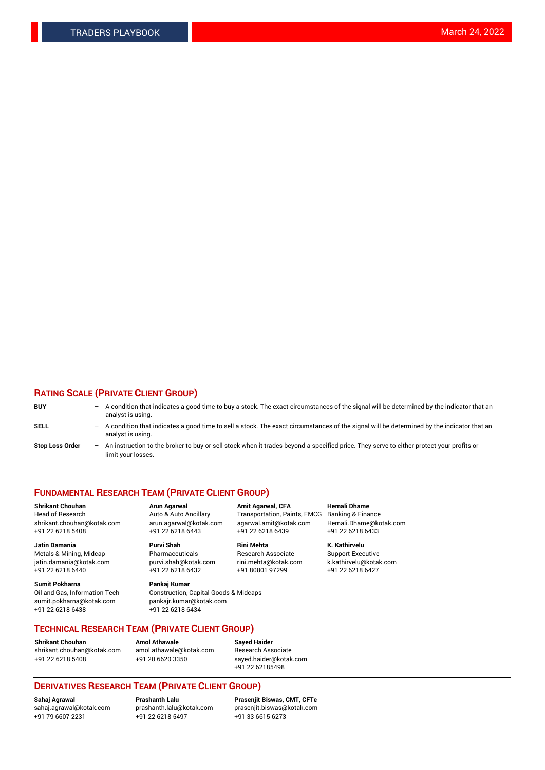## **RATING SCALE (PRIVATE CLIENT GROUP)**

| <b>BUY</b>             | $-$ | A condition that indicates a good time to buy a stock. The exact circumstances of the signal will be determined by the indicator that an<br>analyst is using.    |
|------------------------|-----|------------------------------------------------------------------------------------------------------------------------------------------------------------------|
| <b>SELL</b>            |     | - A condition that indicates a good time to sell a stock. The exact circumstances of the signal will be determined by the indicator that an<br>analyst is using. |
| <b>Stop Loss Order</b> |     | An instruction to the broker to buy or sell stock when it trades beyond a specified price. They serve to either protect your profits or<br>limit your losses.    |

#### **FUNDAMENTAL RESEARCH TEAM (PRIVATE CLIENT GROUP)**

**Shrikant Chouhan Arun Agarwal Amit Agarwal, CFA Hemali Dhame** Head of Research Auto & Auto Ancillary Transportation, Paints, FMCG Banking & Finance shrikant.chouhan@kotak.com arun.agarwal@kotak.com agarwal.amit@kotak.com Hemali.Dhame@kotak.com +91 22 6218 5408 +91 22 6218 6443 +91 22 6218 6439 +91 22 6218 6433

**Jatin Damania Purvi Shah Rini Mehta K. Kathirvelu** Metals & Mining, Midcap **Pharmaceuticals** Research Associate Support Executive jatin.damania@kotak.com [purvi.shah@kotak.com](mailto:purvi.shah@kotak.com) rini.mehta@kotak.com [k.kathirvelu@kotak.com](mailto:k.kathirvelu@kotak.com)  $+91$  22 6218 6440  $+91$  22 6218 6432

**Sumit Pokharna Pankaj Kumar** sumit.pokharna@kotak.com pankajr.kumar@kotak.com +91 22 6218 6438 +91 22 6218 6434

Oil and Gas, Information Tech Construction, Capital Goods & Midcaps

**TECHNICAL RESEARCH TEAM (PRIVATE CLIENT GROUP)**

[shrikant.chouhan@kotak.com](mailto:shrikant.chouhan@kotak.com) [amol.athawale@kotak.com](mailto:amol.athawale@kotak.com) Research Associate +91 22 6218 5408 +91 20 6620 3350 [sayed.haider@kotak.com](mailto:sayed.haider@kotak.com)

**Shrikant Chouhan Amol Athawale Sayed Haider**

+91 22 62185498

# **DERIVATIVES RESEARCH TEAM (PRIVATE CLIENT GROUP)**

 $+91$  22 6218 5497

**Sahaj Agrawal Prashanth Lalu Prasenjit Biswas, CMT, CFTe** [sahaj.agrawal@kotak.com](mailto:sahaj.agrawal@kotak.com) [prashanth.lalu@kotak.com](mailto:prashanth.lalu@kotak.com) [prasenjit.biswas@kotak.com](mailto:prasenjit.biswas@kotak.com)